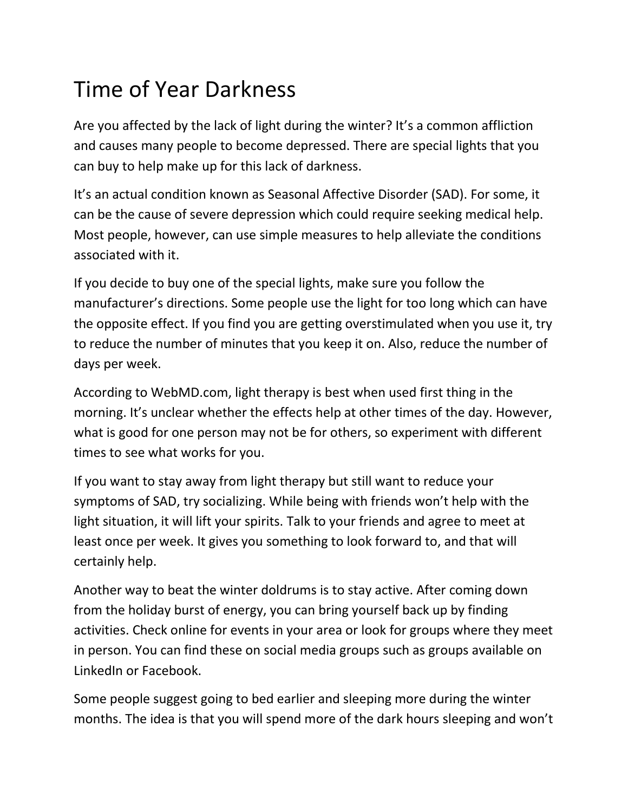## Time of Year Darkness

Are you affected by the lack of light during the winter? It's a common affliction and causes many people to become depressed. There are special lights that you can buy to help make up for this lack of darkness.

It's an actual condition known as Seasonal Affective Disorder (SAD). For some, it can be the cause of severe depression which could require seeking medical help. Most people, however, can use simple measures to help alleviate the conditions associated with it.

If you decide to buy one of the special lights, make sure you follow the manufacturer's directions. Some people use the light for too long which can have the opposite effect. If you find you are getting overstimulated when you use it, try to reduce the number of minutes that you keep it on. Also, reduce the number of days per week.

According to WebMD.com, light therapy is best when used first thing in the morning. It's unclear whether the effects help at other times of the day. However, what is good for one person may not be for others, so experiment with different times to see what works for you.

If you want to stay away from light therapy but still want to reduce your symptoms of SAD, try socializing. While being with friends won't help with the light situation, it will lift your spirits. Talk to your friends and agree to meet at least once per week. It gives you something to look forward to, and that will certainly help.

Another way to beat the winter doldrums is to stay active. After coming down from the holiday burst of energy, you can bring yourself back up by finding activities. Check online for events in your area or look for groups where they meet in person. You can find these on social media groups such as groups available on LinkedIn or Facebook.

Some people suggest going to bed earlier and sleeping more during the winter months. The idea is that you will spend more of the dark hours sleeping and won't